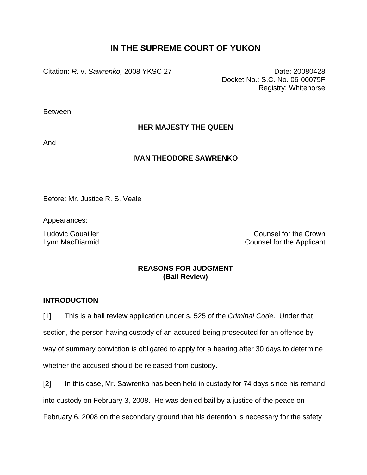# **IN THE SUPREME COURT OF YUKON**

Citation: *R.* v. *Sawrenko,* 2008 YKSC 27 Date: 20080428

Docket No.: S.C. No. 06-00075F Registry: Whitehorse

Between:

**HER MAJESTY THE QUEEN** 

And

## **IVAN THEODORE SAWRENKO**

Before: Mr. Justice R. S. Veale

Appearances:

Ludovic Gouailler Counsel for the Crown Lynn MacDiarmid Counsel for the Applicant

## **REASONS FOR JUDGMENT (Bail Review)**

## **INTRODUCTION**

[1] This is a bail review application under s. 525 of the *Criminal Code*. Under that section, the person having custody of an accused being prosecuted for an offence by way of summary conviction is obligated to apply for a hearing after 30 days to determine whether the accused should be released from custody.

[2] In this case, Mr. Sawrenko has been held in custody for 74 days since his remand into custody on February 3, 2008. He was denied bail by a justice of the peace on February 6, 2008 on the secondary ground that his detention is necessary for the safety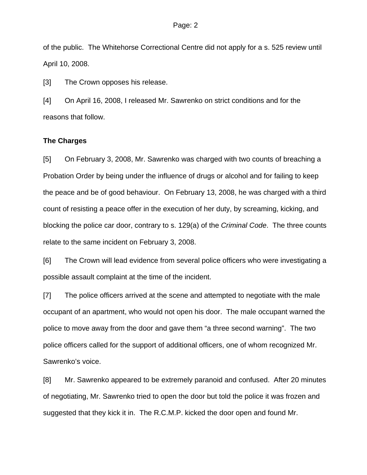of the public. The Whitehorse Correctional Centre did not apply for a s. 525 review until April 10, 2008.

[3] The Crown opposes his release.

[4] On April 16, 2008, I released Mr. Sawrenko on strict conditions and for the reasons that follow.

### **The Charges**

[5] On February 3, 2008, Mr. Sawrenko was charged with two counts of breaching a Probation Order by being under the influence of drugs or alcohol and for failing to keep the peace and be of good behaviour. On February 13, 2008, he was charged with a third count of resisting a peace offer in the execution of her duty, by screaming, kicking, and blocking the police car door, contrary to s. 129(a) of the *Criminal Code*. The three counts relate to the same incident on February 3, 2008.

[6] The Crown will lead evidence from several police officers who were investigating a possible assault complaint at the time of the incident.

[7] The police officers arrived at the scene and attempted to negotiate with the male occupant of an apartment, who would not open his door. The male occupant warned the police to move away from the door and gave them "a three second warning". The two police officers called for the support of additional officers, one of whom recognized Mr. Sawrenko's voice.

[8] Mr. Sawrenko appeared to be extremely paranoid and confused. After 20 minutes of negotiating, Mr. Sawrenko tried to open the door but told the police it was frozen and suggested that they kick it in. The R.C.M.P. kicked the door open and found Mr.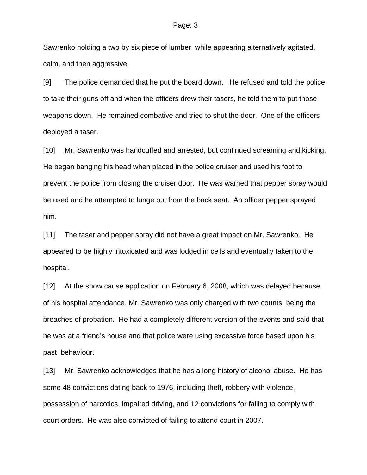Sawrenko holding a two by six piece of lumber, while appearing alternatively agitated, calm, and then aggressive.

[9] The police demanded that he put the board down. He refused and told the police to take their guns off and when the officers drew their tasers, he told them to put those weapons down. He remained combative and tried to shut the door. One of the officers deployed a taser.

[10] Mr. Sawrenko was handcuffed and arrested, but continued screaming and kicking. He began banging his head when placed in the police cruiser and used his foot to prevent the police from closing the cruiser door. He was warned that pepper spray would be used and he attempted to lunge out from the back seat. An officer pepper sprayed him.

[11] The taser and pepper spray did not have a great impact on Mr. Sawrenko. He appeared to be highly intoxicated and was lodged in cells and eventually taken to the hospital.

[12] At the show cause application on February 6, 2008, which was delayed because of his hospital attendance, Mr. Sawrenko was only charged with two counts, being the breaches of probation. He had a completely different version of the events and said that he was at a friend's house and that police were using excessive force based upon his past behaviour.

[13] Mr. Sawrenko acknowledges that he has a long history of alcohol abuse. He has some 48 convictions dating back to 1976, including theft, robbery with violence, possession of narcotics, impaired driving, and 12 convictions for failing to comply with court orders. He was also convicted of failing to attend court in 2007.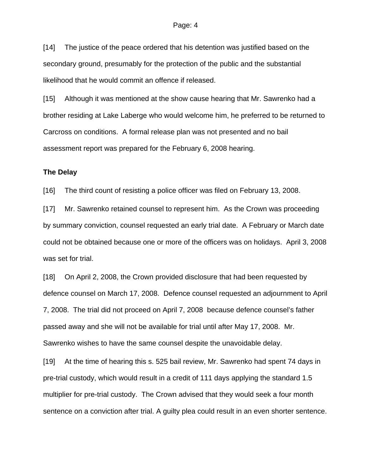[14] The justice of the peace ordered that his detention was justified based on the secondary ground, presumably for the protection of the public and the substantial likelihood that he would commit an offence if released.

[15] Although it was mentioned at the show cause hearing that Mr. Sawrenko had a brother residing at Lake Laberge who would welcome him, he preferred to be returned to Carcross on conditions. A formal release plan was not presented and no bail assessment report was prepared for the February 6, 2008 hearing.

### **The Delay**

[16] The third count of resisting a police officer was filed on February 13, 2008.

[17] Mr. Sawrenko retained counsel to represent him. As the Crown was proceeding by summary conviction, counsel requested an early trial date. A February or March date could not be obtained because one or more of the officers was on holidays. April 3, 2008 was set for trial.

[18] On April 2, 2008, the Crown provided disclosure that had been requested by defence counsel on March 17, 2008. Defence counsel requested an adjournment to April 7, 2008. The trial did not proceed on April 7, 2008 because defence counsel's father passed away and she will not be available for trial until after May 17, 2008. Mr. Sawrenko wishes to have the same counsel despite the unavoidable delay.

[19] At the time of hearing this s. 525 bail review, Mr. Sawrenko had spent 74 days in pre-trial custody, which would result in a credit of 111 days applying the standard 1.5 multiplier for pre-trial custody. The Crown advised that they would seek a four month sentence on a conviction after trial. A guilty plea could result in an even shorter sentence.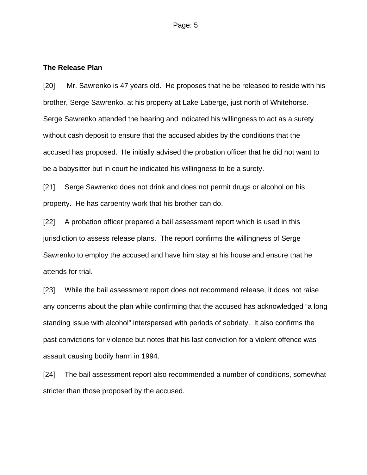### **The Release Plan**

[20] Mr. Sawrenko is 47 years old. He proposes that he be released to reside with his brother, Serge Sawrenko, at his property at Lake Laberge, just north of Whitehorse. Serge Sawrenko attended the hearing and indicated his willingness to act as a surety without cash deposit to ensure that the accused abides by the conditions that the accused has proposed. He initially advised the probation officer that he did not want to be a babysitter but in court he indicated his willingness to be a surety.

[21] Serge Sawrenko does not drink and does not permit drugs or alcohol on his property. He has carpentry work that his brother can do.

[22] A probation officer prepared a bail assessment report which is used in this jurisdiction to assess release plans. The report confirms the willingness of Serge Sawrenko to employ the accused and have him stay at his house and ensure that he attends for trial.

[23] While the bail assessment report does not recommend release, it does not raise any concerns about the plan while confirming that the accused has acknowledged "a long standing issue with alcohol" interspersed with periods of sobriety. It also confirms the past convictions for violence but notes that his last conviction for a violent offence was assault causing bodily harm in 1994.

[24] The bail assessment report also recommended a number of conditions, somewhat stricter than those proposed by the accused.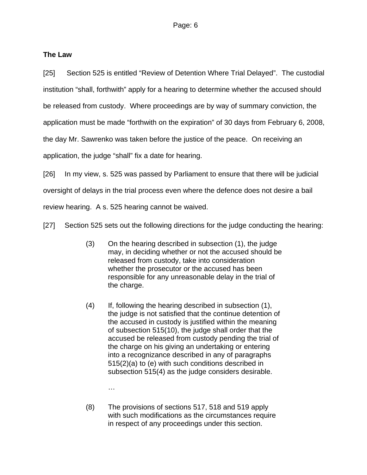## **The Law**

[25] Section 525 is entitled "Review of Detention Where Trial Delayed". The custodial institution "shall, forthwith" apply for a hearing to determine whether the accused should be released from custody. Where proceedings are by way of summary conviction, the application must be made "forthwith on the expiration" of 30 days from February 6, 2008, the day Mr. Sawrenko was taken before the justice of the peace. On receiving an application, the judge "shall" fix a date for hearing.

[26] In my view, s. 525 was passed by Parliament to ensure that there will be judicial

oversight of delays in the trial process even where the defence does not desire a bail

review hearing. A s. 525 hearing cannot be waived.

[27] Section 525 sets out the following directions for the judge conducting the hearing:

- (3) On the hearing described in subsection (1), the judge may, in deciding whether or not the accused should be released from custody, take into consideration whether the prosecutor or the accused has been responsible for any unreasonable delay in the trial of the charge.
- (4) If, following the hearing described in subsection (1), the judge is not satisfied that the continue detention of the accused in custody is justified within the meaning of subsection 515(10), the judge shall order that the accused be released from custody pending the trial of the charge on his giving an undertaking or entering into a recognizance described in any of paragraphs 515(2)(a) to (e) with such conditions described in subsection 515(4) as the judge considers desirable.

**Market Adams and Strategies** 

(8) The provisions of sections 517, 518 and 519 apply with such modifications as the circumstances require in respect of any proceedings under this section.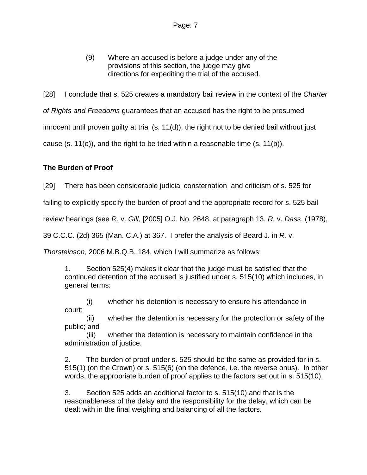(9) Where an accused is before a judge under any of the provisions of this section, the judge may give directions for expediting the trial of the accused.

[28] I conclude that s. 525 creates a mandatory bail review in the context of the *Charter* 

*of Rights and Freedoms* guarantees that an accused has the right to be presumed

innocent until proven guilty at trial (s. 11(d)), the right not to be denied bail without just

cause (s. 11(e)), and the right to be tried within a reasonable time (s. 11(b)).

## **The Burden of Proof**

[29] There has been considerable judicial consternation and criticism of s. 525 for

failing to explicitly specify the burden of proof and the appropriate record for s. 525 bail

review hearings (see *R.* v. *Gill*, [2005] O.J. No. 2648, at paragraph 13, *R.* v. *Dass*, (1978),

39 C.C.C. (2d) 365 (Man. C.A.) at 367. I prefer the analysis of Beard J. in *R.* v.

*Thorsteinson*, 2006 M.B.Q.B. 184, which I will summarize as follows:

1. Section 525(4) makes it clear that the judge must be satisfied that the continued detention of the accused is justified under s. 515(10) which includes, in general terms:

 (i) whether his detention is necessary to ensure his attendance in court;

 (ii) whether the detention is necessary for the protection or safety of the public; and

 (iii) whether the detention is necessary to maintain confidence in the administration of justice.

2. The burden of proof under s. 525 should be the same as provided for in s. 515(1) (on the Crown) or s. 515(6) (on the defence, i.e. the reverse onus). In other words, the appropriate burden of proof applies to the factors set out in s. 515(10).

3. Section 525 adds an additional factor to s. 515(10) and that is the reasonableness of the delay and the responsibility for the delay, which can be dealt with in the final weighing and balancing of all the factors.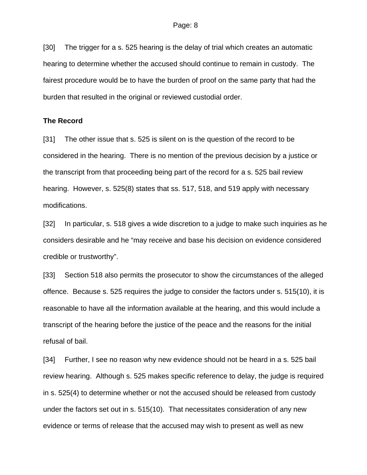[30] The trigger for a s. 525 hearing is the delay of trial which creates an automatic hearing to determine whether the accused should continue to remain in custody. The fairest procedure would be to have the burden of proof on the same party that had the burden that resulted in the original or reviewed custodial order.

### **The Record**

[31] The other issue that s. 525 is silent on is the question of the record to be considered in the hearing. There is no mention of the previous decision by a justice or the transcript from that proceeding being part of the record for a s. 525 bail review hearing. However, s. 525(8) states that ss. 517, 518, and 519 apply with necessary modifications.

[32] In particular, s. 518 gives a wide discretion to a judge to make such inquiries as he considers desirable and he "may receive and base his decision on evidence considered credible or trustworthy".

[33] Section 518 also permits the prosecutor to show the circumstances of the alleged offence. Because s. 525 requires the judge to consider the factors under s. 515(10), it is reasonable to have all the information available at the hearing, and this would include a transcript of the hearing before the justice of the peace and the reasons for the initial refusal of bail.

[34] Further, I see no reason why new evidence should not be heard in a s. 525 bail review hearing. Although s. 525 makes specific reference to delay, the judge is required in s. 525(4) to determine whether or not the accused should be released from custody under the factors set out in s. 515(10). That necessitates consideration of any new evidence or terms of release that the accused may wish to present as well as new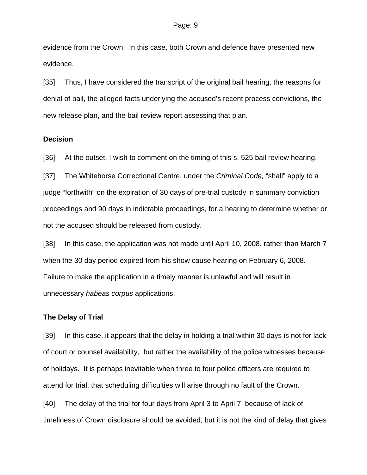evidence from the Crown. In this case, both Crown and defence have presented new evidence.

[35] Thus, I have considered the transcript of the original bail hearing, the reasons for denial of bail, the alleged facts underlying the accused's recent process convictions, the new release plan, and the bail review report assessing that plan.

### **Decision**

[36] At the outset, I wish to comment on the timing of this s. 525 bail review hearing.

[37] The Whitehorse Correctional Centre, under the *Criminal Code,* "shall" apply to a judge "forthwith" on the expiration of 30 days of pre-trial custody in summary conviction proceedings and 90 days in indictable proceedings, for a hearing to determine whether or not the accused should be released from custody.

[38] In this case, the application was not made until April 10, 2008, rather than March 7 when the 30 day period expired from his show cause hearing on February 6, 2008. Failure to make the application in a timely manner is unlawful and will result in unnecessary *habeas corpus* applications.

### **The Delay of Trial**

[39] In this case, it appears that the delay in holding a trial within 30 days is not for lack of court or counsel availability, but rather the availability of the police witnesses because of holidays. It is perhaps inevitable when three to four police officers are required to attend for trial, that scheduling difficulties will arise through no fault of the Crown.

[40] The delay of the trial for four days from April 3 to April 7 because of lack of timeliness of Crown disclosure should be avoided, but it is not the kind of delay that gives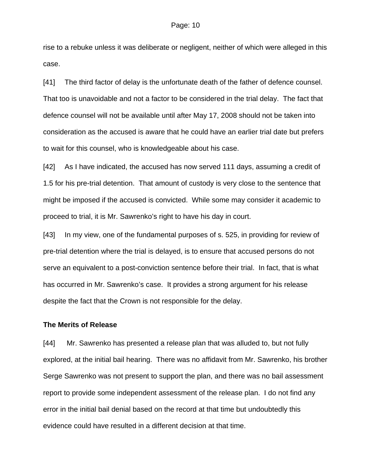rise to a rebuke unless it was deliberate or negligent, neither of which were alleged in this case.

[41] The third factor of delay is the unfortunate death of the father of defence counsel. That too is unavoidable and not a factor to be considered in the trial delay. The fact that defence counsel will not be available until after May 17, 2008 should not be taken into consideration as the accused is aware that he could have an earlier trial date but prefers to wait for this counsel, who is knowledgeable about his case.

[42] As I have indicated, the accused has now served 111 days, assuming a credit of 1.5 for his pre-trial detention. That amount of custody is very close to the sentence that might be imposed if the accused is convicted. While some may consider it academic to proceed to trial, it is Mr. Sawrenko's right to have his day in court.

[43] In my view, one of the fundamental purposes of s. 525, in providing for review of pre-trial detention where the trial is delayed, is to ensure that accused persons do not serve an equivalent to a post-conviction sentence before their trial. In fact, that is what has occurred in Mr. Sawrenko's case. It provides a strong argument for his release despite the fact that the Crown is not responsible for the delay.

#### **The Merits of Release**

[44] Mr. Sawrenko has presented a release plan that was alluded to, but not fully explored, at the initial bail hearing. There was no affidavit from Mr. Sawrenko, his brother Serge Sawrenko was not present to support the plan, and there was no bail assessment report to provide some independent assessment of the release plan. I do not find any error in the initial bail denial based on the record at that time but undoubtedly this evidence could have resulted in a different decision at that time.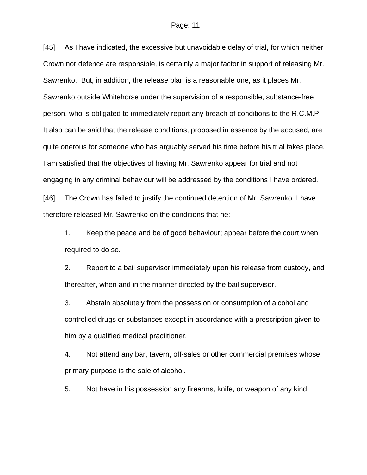[45] As I have indicated, the excessive but unavoidable delay of trial, for which neither Crown nor defence are responsible, is certainly a major factor in support of releasing Mr. Sawrenko. But, in addition, the release plan is a reasonable one, as it places Mr. Sawrenko outside Whitehorse under the supervision of a responsible, substance-free person, who is obligated to immediately report any breach of conditions to the R.C.M.P. It also can be said that the release conditions, proposed in essence by the accused, are quite onerous for someone who has arguably served his time before his trial takes place. I am satisfied that the objectives of having Mr. Sawrenko appear for trial and not engaging in any criminal behaviour will be addressed by the conditions I have ordered. [46] The Crown has failed to justify the continued detention of Mr. Sawrenko. I have

therefore released Mr. Sawrenko on the conditions that he:

1. Keep the peace and be of good behaviour; appear before the court when required to do so.

2. Report to a bail supervisor immediately upon his release from custody, and thereafter, when and in the manner directed by the bail supervisor.

3. Abstain absolutely from the possession or consumption of alcohol and controlled drugs or substances except in accordance with a prescription given to him by a qualified medical practitioner.

4. Not attend any bar, tavern, off-sales or other commercial premises whose primary purpose is the sale of alcohol.

5. Not have in his possession any firearms, knife, or weapon of any kind.